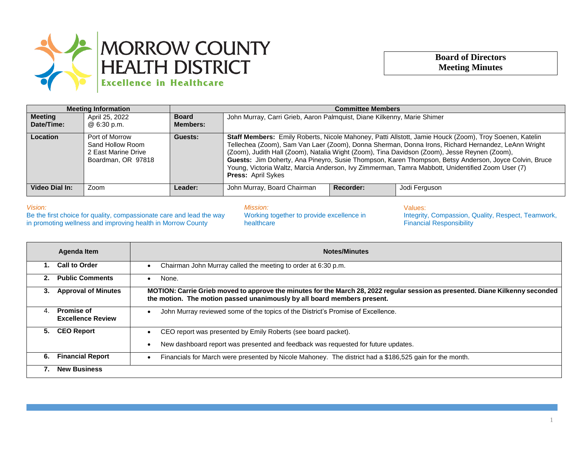

## **Board of Directors Meeting Minutes**

| <b>Meeting Information</b>   |                                                                                 | <b>Committee Members</b>        |                                                                                                                                                                                                                                                                                                                                                                                                                                                                                                                                                        |           |               |
|------------------------------|---------------------------------------------------------------------------------|---------------------------------|--------------------------------------------------------------------------------------------------------------------------------------------------------------------------------------------------------------------------------------------------------------------------------------------------------------------------------------------------------------------------------------------------------------------------------------------------------------------------------------------------------------------------------------------------------|-----------|---------------|
| <b>Meeting</b><br>Date/Time: | April 25, 2022<br>@ 6:30 p.m.                                                   | <b>Board</b><br><b>Members:</b> | John Murray, Carri Grieb, Aaron Palmquist, Diane Kilkenny, Marie Shimer                                                                                                                                                                                                                                                                                                                                                                                                                                                                                |           |               |
| Location                     | Port of Morrow<br>Sand Hollow Room<br>2 East Marine Drive<br>Boardman, OR 97818 | Guests:                         | Staff Members: Emily Roberts, Nicole Mahoney, Patti Allstott, Jamie Houck (Zoom), Troy Soenen, Katelin<br>Tellechea (Zoom), Sam Van Laer (Zoom), Donna Sherman, Donna Irons, Richard Hernandez, LeAnn Wright<br>(Zoom), Judith Hall (Zoom), Natalia Wight (Zoom), Tina Davidson (Zoom), Jesse Reynen (Zoom),<br>Guests: Jim Doherty, Ana Pineyro, Susie Thompson, Karen Thompson, Betsy Anderson, Joyce Colvin, Bruce<br>Young, Victoria Waltz, Marcia Anderson, Ivy Zimmerman, Tamra Mabbott, Unidentified Zoom User (7)<br><b>Press: April Sykes</b> |           |               |
| Video Dial In:               | Zoom                                                                            | Leader:                         | John Murray, Board Chairman                                                                                                                                                                                                                                                                                                                                                                                                                                                                                                                            | Recorder: | Jodi Ferguson |

## *Vision:*

Be the first choice for quality, compassionate care and lead the way in promoting wellness and improving health in Morrow County

*Mission:* Working together to provide excellence in healthcare

Values: Integrity, Compassion, Quality, Respect, Teamwork, Financial Responsibility

|    | Agenda Item                                   | <b>Notes/Minutes</b>                                                                                                                                                                                      |
|----|-----------------------------------------------|-----------------------------------------------------------------------------------------------------------------------------------------------------------------------------------------------------------|
|    | <b>Call to Order</b>                          | Chairman John Murray called the meeting to order at 6:30 p.m.                                                                                                                                             |
| 2. | <b>Public Comments</b>                        | None.                                                                                                                                                                                                     |
| 3. | <b>Approval of Minutes</b>                    | MOTION: Carrie Grieb moved to approve the minutes for the March 28, 2022 regular session as presented. Diane Kilkenny seconded<br>the motion. The motion passed unanimously by all board members present. |
| 4. | <b>Promise of</b><br><b>Excellence Review</b> | John Murray reviewed some of the topics of the District's Promise of Excellence.                                                                                                                          |
| 5. | <b>CEO Report</b>                             | CEO report was presented by Emily Roberts (see board packet).                                                                                                                                             |
|    |                                               | New dashboard report was presented and feedback was requested for future updates.                                                                                                                         |
| 6. | <b>Financial Report</b>                       | Financials for March were presented by Nicole Mahoney. The district had a \$186,525 gain for the month.                                                                                                   |
|    | <b>New Business</b>                           |                                                                                                                                                                                                           |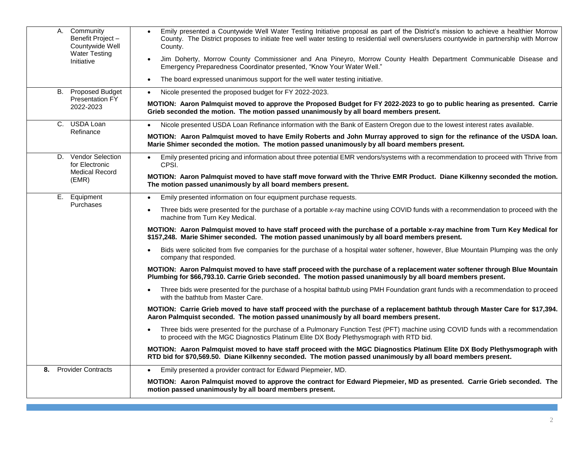| Community<br>А.<br>Benefit Project-<br>Countywide Well | Emily presented a Countywide Well Water Testing Initiative proposal as part of the District's mission to achieve a healthier Morrow<br>$\bullet$<br>County. The District proposes to initiate free well water testing to residential well owners/users countywide in partnership with Morrow<br>County. |
|--------------------------------------------------------|---------------------------------------------------------------------------------------------------------------------------------------------------------------------------------------------------------------------------------------------------------------------------------------------------------|
| <b>Water Testing</b><br>Initiative                     | Jim Doherty, Morrow County Commissioner and Ana Pineyro, Morrow County Health Department Communicable Disease and<br>Emergency Preparedness Coordinator presented, "Know Your Water Well."                                                                                                              |
|                                                        | The board expressed unanimous support for the well water testing initiative.<br>$\bullet$                                                                                                                                                                                                               |
| <b>Proposed Budget</b><br>В.                           | Nicole presented the proposed budget for FY 2022-2023.<br>$\bullet$                                                                                                                                                                                                                                     |
| Presentation FY<br>2022-2023                           | MOTION: Aaron Palmquist moved to approve the Proposed Budget for FY 2022-2023 to go to public hearing as presented. Carrie<br>Grieb seconded the motion. The motion passed unanimously by all board members present.                                                                                    |
| C. USDA Loan                                           | Nicole presented USDA Loan Refinance information with the Bank of Eastern Oregon due to the lowest interest rates available.                                                                                                                                                                            |
| Refinance                                              | MOTION: Aaron Palmquist moved to have Emily Roberts and John Murray approved to sign for the refinance of the USDA Ioan.<br>Marie Shimer seconded the motion. The motion passed unanimously by all board members present.                                                                               |
| <b>Vendor Selection</b><br>D.<br>for Electronic        | Emily presented pricing and information about three potential EMR vendors/systems with a recommendation to proceed with Thrive from<br>$\bullet$<br>CPSI.                                                                                                                                               |
| <b>Medical Record</b><br>(EMR)                         | MOTION: Aaron Palmquist moved to have staff move forward with the Thrive EMR Product. Diane Kilkenny seconded the motion.<br>The motion passed unanimously by all board members present.                                                                                                                |
| Ε.<br>Equipment                                        | Emily presented information on four equipment purchase requests.<br>$\bullet$                                                                                                                                                                                                                           |
| <b>Purchases</b>                                       | Three bids were presented for the purchase of a portable x-ray machine using COVID funds with a recommendation to proceed with the<br>machine from Turn Key Medical.                                                                                                                                    |
|                                                        | MOTION: Aaron Palmquist moved to have staff proceed with the purchase of a portable x-ray machine from Turn Key Medical for<br>\$157,248. Marie Shimer seconded. The motion passed unanimously by all board members present.                                                                            |
|                                                        | Bids were solicited from five companies for the purchase of a hospital water softener, however, Blue Mountain Plumping was the only<br>company that responded.                                                                                                                                          |
|                                                        | MOTION: Aaron Palmquist moved to have staff proceed with the purchase of a replacement water softener through Blue Mountain<br>Plumbing for \$66,793.10. Carrie Grieb seconded. The motion passed unanimously by all board members present.                                                             |
|                                                        | Three bids were presented for the purchase of a hospital bathtub using PMH Foundation grant funds with a recommendation to proceed<br>with the bathtub from Master Care.                                                                                                                                |
|                                                        | MOTION: Carrie Grieb moved to have staff proceed with the purchase of a replacement bathtub through Master Care for \$17,394.<br>Aaron Palmquist seconded. The motion passed unanimously by all board members present.                                                                                  |
|                                                        | Three bids were presented for the purchase of a Pulmonary Function Test (PFT) machine using COVID funds with a recommendation<br>$\bullet$<br>to proceed with the MGC Diagnostics Platinum Elite DX Body Plethysmograph with RTD bid.                                                                   |
|                                                        | MOTION: Aaron Palmquist moved to have staff proceed with the MGC Diagnostics Platinum Elite DX Body Plethysmograph with<br>RTD bid for \$70,569.50. Diane Kilkenny seconded. The motion passed unanimously by all board members present.                                                                |
| 8. Provider Contracts                                  | Emily presented a provider contract for Edward Piepmeier, MD.<br>$\bullet$                                                                                                                                                                                                                              |
|                                                        | MOTION: Aaron Palmquist moved to approve the contract for Edward Piepmeier, MD as presented. Carrie Grieb seconded. The<br>motion passed unanimously by all board members present.                                                                                                                      |